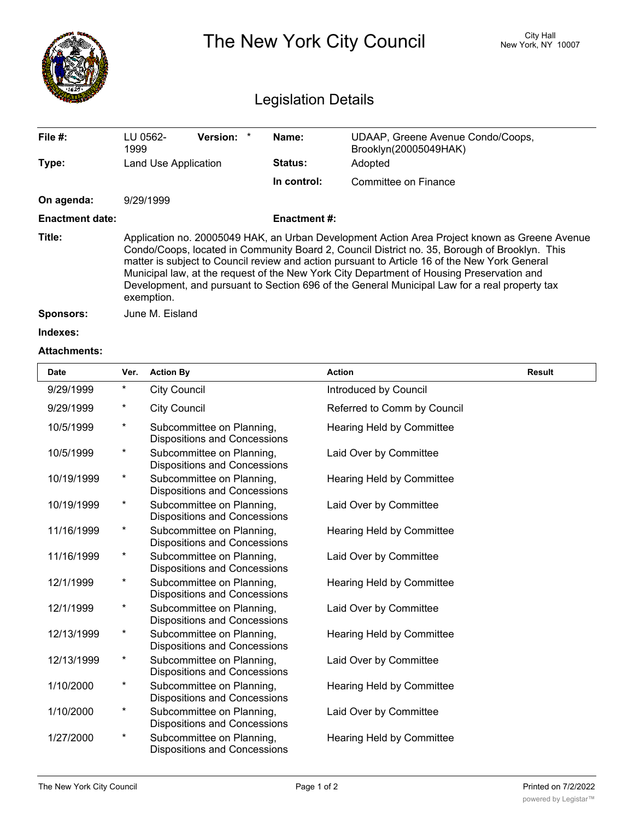|                        | City Hall<br>The New York City Council<br>New York, NY 10007<br><b>Legislation Details</b>                                                                                                                                                                                                                                                                                                                                                                                                                  |                     |                                                            |  |  |  |  |  |
|------------------------|-------------------------------------------------------------------------------------------------------------------------------------------------------------------------------------------------------------------------------------------------------------------------------------------------------------------------------------------------------------------------------------------------------------------------------------------------------------------------------------------------------------|---------------------|------------------------------------------------------------|--|--|--|--|--|
| File #:                | <b>Version:</b><br>LU 0562-<br>1999                                                                                                                                                                                                                                                                                                                                                                                                                                                                         | Name:               | UDAAP, Greene Avenue Condo/Coops,<br>Brooklyn(20005049HAK) |  |  |  |  |  |
| Type:                  | Land Use Application                                                                                                                                                                                                                                                                                                                                                                                                                                                                                        | <b>Status:</b>      | Adopted                                                    |  |  |  |  |  |
|                        |                                                                                                                                                                                                                                                                                                                                                                                                                                                                                                             | In control:         | Committee on Finance                                       |  |  |  |  |  |
| On agenda:             | 9/29/1999                                                                                                                                                                                                                                                                                                                                                                                                                                                                                                   |                     |                                                            |  |  |  |  |  |
| <b>Enactment date:</b> |                                                                                                                                                                                                                                                                                                                                                                                                                                                                                                             | <b>Enactment #:</b> |                                                            |  |  |  |  |  |
| Title:                 | Application no. 20005049 HAK, an Urban Development Action Area Project known as Greene Avenue<br>Condo/Coops, located in Community Board 2, Council District no. 35, Borough of Brooklyn. This<br>matter is subject to Council review and action pursuant to Article 16 of the New York General<br>Municipal law, at the request of the New York City Department of Housing Preservation and<br>Development, and pursuant to Section 696 of the General Municipal Law for a real property tax<br>exemption. |                     |                                                            |  |  |  |  |  |
| Sponsors:              | June M. Eisland                                                                                                                                                                                                                                                                                                                                                                                                                                                                                             |                     |                                                            |  |  |  |  |  |

**Indexes:**

## **Attachments:**

| <b>Date</b> | Ver.     | <b>Action By</b>                                                 | <b>Action</b>                    | <b>Result</b> |
|-------------|----------|------------------------------------------------------------------|----------------------------------|---------------|
| 9/29/1999   | $^\star$ | <b>City Council</b>                                              | Introduced by Council            |               |
| 9/29/1999   | $^\star$ | <b>City Council</b>                                              | Referred to Comm by Council      |               |
| 10/5/1999   | $^\star$ | Subcommittee on Planning,<br><b>Dispositions and Concessions</b> | Hearing Held by Committee        |               |
| 10/5/1999   | $^\star$ | Subcommittee on Planning,<br><b>Dispositions and Concessions</b> | Laid Over by Committee           |               |
| 10/19/1999  | *        | Subcommittee on Planning,<br><b>Dispositions and Concessions</b> | <b>Hearing Held by Committee</b> |               |
| 10/19/1999  | $^\star$ | Subcommittee on Planning,<br>Dispositions and Concessions        | Laid Over by Committee           |               |
| 11/16/1999  | *        | Subcommittee on Planning,<br><b>Dispositions and Concessions</b> | <b>Hearing Held by Committee</b> |               |
| 11/16/1999  | $^\star$ | Subcommittee on Planning,<br><b>Dispositions and Concessions</b> | Laid Over by Committee           |               |
| 12/1/1999   | $^\star$ | Subcommittee on Planning,<br>Dispositions and Concessions        | Hearing Held by Committee        |               |
| 12/1/1999   | $^\star$ | Subcommittee on Planning,<br><b>Dispositions and Concessions</b> | Laid Over by Committee           |               |
| 12/13/1999  | $^\star$ | Subcommittee on Planning,<br>Dispositions and Concessions        | Hearing Held by Committee        |               |
| 12/13/1999  | *        | Subcommittee on Planning,<br><b>Dispositions and Concessions</b> | Laid Over by Committee           |               |
| 1/10/2000   | $^\star$ | Subcommittee on Planning,<br>Dispositions and Concessions        | <b>Hearing Held by Committee</b> |               |
| 1/10/2000   | *        | Subcommittee on Planning,<br>Dispositions and Concessions        | Laid Over by Committee           |               |
| 1/27/2000   | *        | Subcommittee on Planning,<br><b>Dispositions and Concessions</b> | <b>Hearing Held by Committee</b> |               |